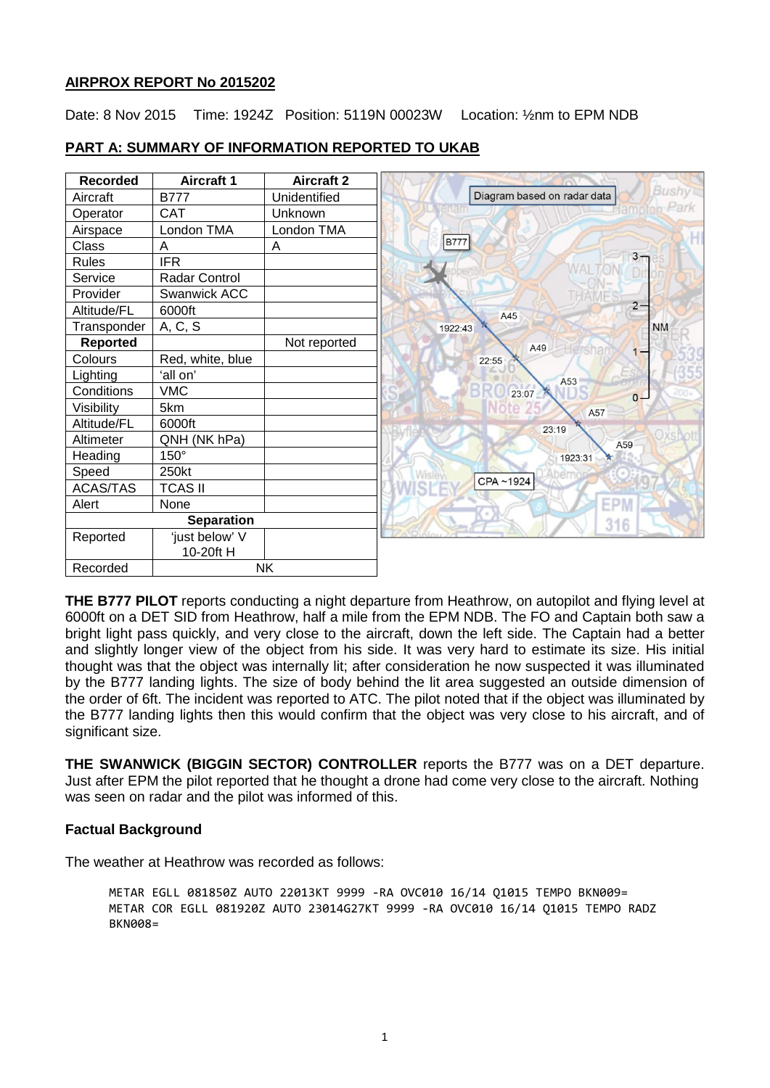## **AIRPROX REPORT No 2015202**

Date: 8 Nov 2015 Time: 1924Z Position: 5119N 00023W Location: 1/2nm to EPM NDB

| <b>Recorded</b> | <b>Aircraft 1</b> | <b>Aircraft 2</b> |
|-----------------|-------------------|-------------------|
| Aircraft        | <b>B777</b>       | Unidentified      |
| Operator        | <b>CAT</b>        | Unknown           |
| Airspace        | London TMA        | London TMA        |
| Class           | A                 | A                 |
| <b>Rules</b>    | <b>IFR</b>        |                   |
| Service         | Radar Control     |                   |
| Provider        | Swanwick ACC      |                   |
| Altitude/FL     | 6000ft            |                   |
| Transponder     | A, C, S           |                   |
| <b>Reported</b> |                   | Not reported      |
| Colours         | Red, white, blue  |                   |
| Lighting        | 'all on'          |                   |
| Conditions      | <b>VMC</b>        |                   |
| Visibility      | 5km               |                   |
| Altitude/FL     | 6000ft            |                   |
| Altimeter       | QNH (NK hPa)      |                   |
| Heading         | 150°              |                   |
| Speed           | 250kt             |                   |
| <b>ACAS/TAS</b> | <b>TCAS II</b>    |                   |
| Alert           | None              |                   |
|                 | <b>Separation</b> |                   |
| Reported        | 'just below' V    |                   |
|                 | 10-20ft H         |                   |
| Recorded        |                   | <b>NK</b>         |

## **PART A: SUMMARY OF INFORMATION REPORTED TO UKAB**

**THE B777 PILOT** reports conducting a night departure from Heathrow, on autopilot and flying level at 6000ft on a DET SID from Heathrow, half a mile from the EPM NDB. The FO and Captain both saw a bright light pass quickly, and very close to the aircraft, down the left side. The Captain had a better and slightly longer view of the object from his side. It was very hard to estimate its size. His initial thought was that the object was internally lit; after consideration he now suspected it was illuminated by the B777 landing lights. The size of body behind the lit area suggested an outside dimension of the order of 6ft. The incident was reported to ATC. The pilot noted that if the object was illuminated by the B777 landing lights then this would confirm that the object was very close to his aircraft, and of significant size.

**THE SWANWICK (BIGGIN SECTOR) CONTROLLER** reports the B777 was on a DET departure. Just after EPM the pilot reported that he thought a drone had come very close to the aircraft. Nothing was seen on radar and the pilot was informed of this.

# **Factual Background**

The weather at Heathrow was recorded as follows:

METAR EGLL 081850Z AUTO 22013KT 9999 -RA OVC010 16/14 Q1015 TEMPO BKN009= METAR COR EGLL 081920Z AUTO 23014G27KT 9999 -RA OVC010 16/14 Q1015 TEMPO RADZ BKN008=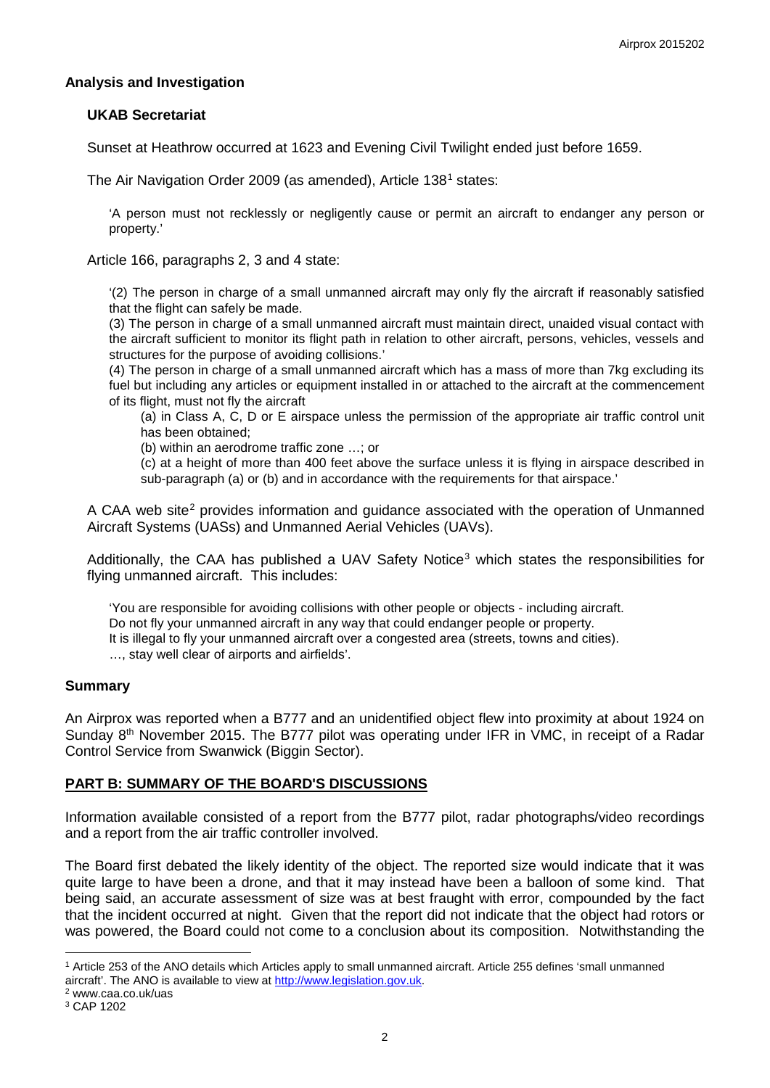## **Analysis and Investigation**

### **UKAB Secretariat**

Sunset at Heathrow occurred at 1623 and Evening Civil Twilight ended just before 1659.

The Air Navigation Order 2009 (as amended), Article [1](#page-1-0)38<sup>1</sup> states:

'A person must not recklessly or negligently cause or permit an aircraft to endanger any person or property.'

Article 166, paragraphs 2, 3 and 4 state:

'(2) The person in charge of a small unmanned aircraft may only fly the aircraft if reasonably satisfied that the flight can safely be made.

(3) The person in charge of a small unmanned aircraft must maintain direct, unaided visual contact with the aircraft sufficient to monitor its flight path in relation to other aircraft, persons, vehicles, vessels and structures for the purpose of avoiding collisions.'

(4) The person in charge of a small unmanned aircraft which has a mass of more than 7kg excluding its fuel but including any articles or equipment installed in or attached to the aircraft at the commencement of its flight, must not fly the aircraft

(a) in Class A, C, D or E airspace unless the permission of the appropriate air traffic control unit has been obtained;

(b) within an aerodrome traffic zone …; or

(c) at a height of more than 400 feet above the surface unless it is flying in airspace described in sub-paragraph (a) or (b) and in accordance with the requirements for that airspace.'

A CAA web site<sup>[2](#page-1-1)</sup> provides information and quidance associated with the operation of Unmanned Aircraft Systems (UASs) and Unmanned Aerial Vehicles (UAVs).

Additionally, the CAA has published a UAV Safety Notice<sup>[3](#page-1-2)</sup> which states the responsibilities for flying unmanned aircraft. This includes:

'You are responsible for avoiding collisions with other people or objects - including aircraft. Do not fly your unmanned aircraft in any way that could endanger people or property. It is illegal to fly your unmanned aircraft over a congested area (streets, towns and cities). …, stay well clear of airports and airfields'.

#### **Summary**

An Airprox was reported when a B777 and an unidentified object flew into proximity at about 1924 on Sunday  $8<sup>th</sup>$  November 2015. The B777 pilot was operating under IFR in VMC, in receipt of a Radar Control Service from Swanwick (Biggin Sector).

#### **PART B: SUMMARY OF THE BOARD'S DISCUSSIONS**

Information available consisted of a report from the B777 pilot, radar photographs/video recordings and a report from the air traffic controller involved.

The Board first debated the likely identity of the object. The reported size would indicate that it was quite large to have been a drone, and that it may instead have been a balloon of some kind. That being said, an accurate assessment of size was at best fraught with error, compounded by the fact that the incident occurred at night. Given that the report did not indicate that the object had rotors or was powered, the Board could not come to a conclusion about its composition. Notwithstanding the

 $\overline{\phantom{a}}$ 

<span id="page-1-0"></span><sup>1</sup> Article 253 of the ANO details which Articles apply to small unmanned aircraft. Article 255 defines 'small unmanned aircraft'. The ANO is available to view at [http://www.legislation.gov.uk.](http://www.legislation.gov.uk/)<br><sup>2</sup> www.caa.co.uk/uas

<span id="page-1-1"></span>

<span id="page-1-2"></span><sup>3</sup> CAP 1202